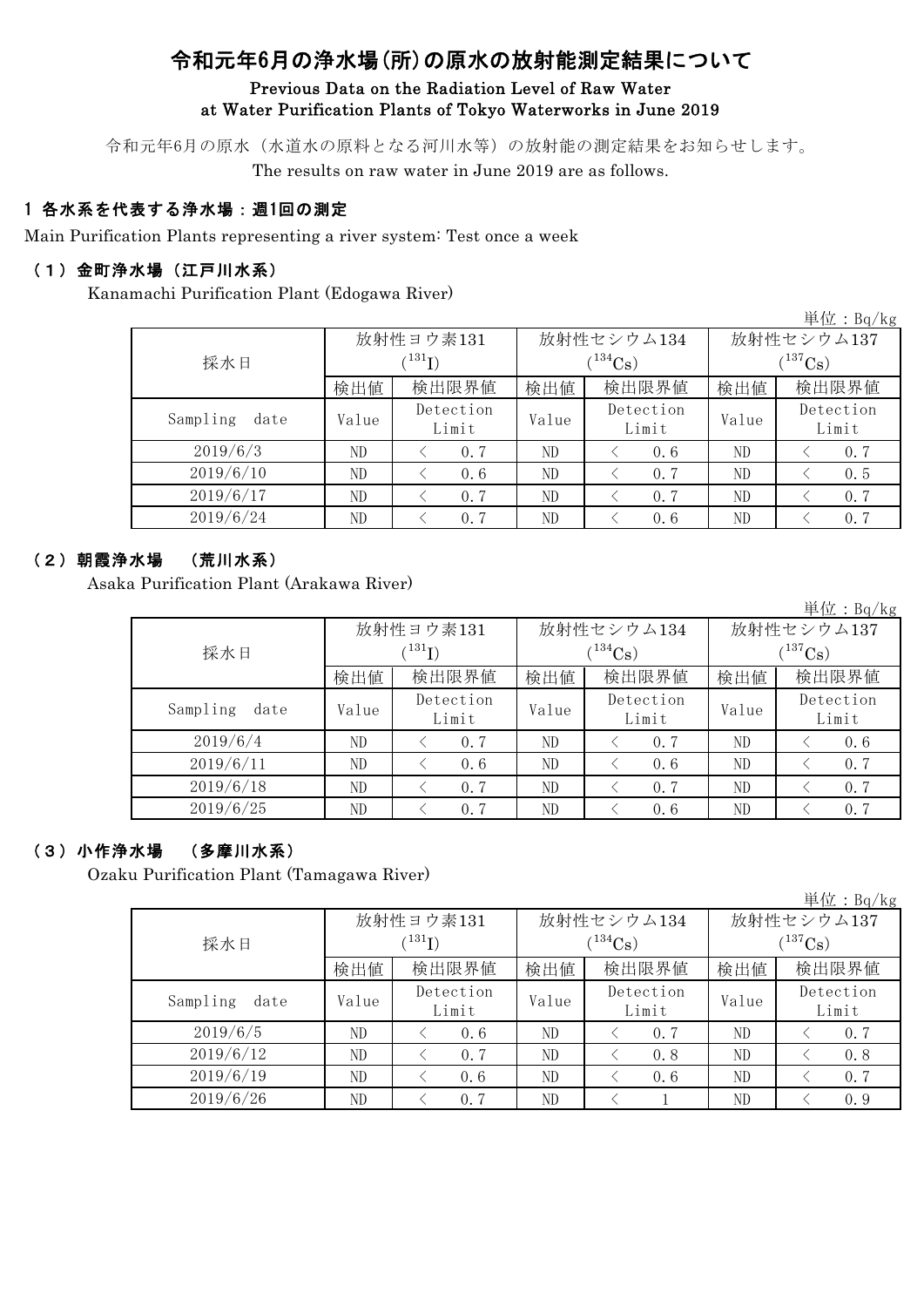# 令和元年6月の浄水場(所)の原水の放射能測定結果について

#### Previous Data on the Radiation Level of Raw Water at Water Purification Plants of Tokyo Waterworks in June 2019

令和元年6月の原水(水道水の原料となる河川水等)の放射能の測定結果をお知らせします。 The results on raw water in June 2019 are as follows.

### 1 各水系を代表する浄水場:週1回の測定

Main Purification Plants representing a river system: Test once a week

#### (1)金町浄水場(江戸川水系)

Kanamachi Purification Plant (Edogawa River)

単位:Bq/kg

|                  |       |                    |       |                    |              | $T = 12.4$ . $P = 12.5$ |  |
|------------------|-------|--------------------|-------|--------------------|--------------|-------------------------|--|
|                  |       | 放射性ヨウ素131          |       | 放射性セシウム134         | 放射性セシウム137   |                         |  |
| 採水日              |       | (131)              |       | $(134)$ Cs         | $(^{137}Cs)$ |                         |  |
|                  | 検出値   | 検出限界値              | 検出値   | 検出限界値              | 検出値          | 検出限界値                   |  |
| Sampling<br>date | Value | Detection<br>Limit | Value | Detection<br>Limit | Value        | Detection<br>Limit      |  |
| 2019/6/3         | ND    | 0.7                | ND    | 0.6                | ND           | 0.7                     |  |
| 2019/6/10        | ND    | 0.6                | ND    | 0.7                | ND           | 0.5                     |  |
| 2019/6/17        | ND    | 0.7                | ND    | 0.7                | ND           | 0.7                     |  |
| 2019/6/24        | ND.   | 0.7                | ND    | 0.6                | ND           | 0.7                     |  |

#### (2)朝霞浄水場 (荒川水系)

Asaka Purification Plant (Arakawa River)

|                  |       |                    |       |                    |              | 単位: $Bq/kg$        |  |
|------------------|-------|--------------------|-------|--------------------|--------------|--------------------|--|
|                  |       | 放射性ヨウ素131          |       | 放射性セシウム134         | 放射性セシウム137   |                    |  |
| 採水日              |       | (131)              |       | $(^{134}Cs)$       | $(^{137}Cs)$ |                    |  |
|                  | 検出値   | 検出限界値              | 検出値   | 検出限界値              | 検出値          | 検出限界値              |  |
| Sampling<br>date | Value | Detection<br>Limit | Value | Detection<br>Limit | Value        | Detection<br>Limit |  |
| 2019/6/4         | ND    | 0.7                | ND    | 0, 7               | ND           | 0.6                |  |
| 2019/6/11        | ND    | 0.6                | ND    | 0.6                | ND           | 0.7                |  |
| 2019/6/18        | ND    | 0.7                | ND    | 0.7                | ND           | 0.7                |  |
| 2019/6/25        | ND    | 0.7                | ND    | 0.6                | ND           | 0.7                |  |

#### (3)小作浄水場 (多摩川水系)

Ozaku Purification Plant (Tamagawa River)

|                  |       |                          |       |                    |              | 单位: Bq/kg          |  |
|------------------|-------|--------------------------|-------|--------------------|--------------|--------------------|--|
|                  |       | 放射性ヨウ素131                |       | 放射性セシウム134         | 放射性セシウム137   |                    |  |
| 採水日              |       | $^{\prime\,131}{\rm I})$ |       | $(134)$ Cs)        | $(^{137}Cs)$ |                    |  |
|                  | 検出値   | 検出限界値                    | 検出値   | 検出限界値              | 検出値          | 検出限界値              |  |
| Sampling<br>date | Value | Detection<br>Limit       | Value | Detection<br>Limit | Value        | Detection<br>Limit |  |
| 2019/6/5         | ND    | 0.6                      | ND    | 0.7                | ND           | 0.7                |  |
| 2019/6/12        | ND    | 0.7                      | ND    | 0.8                | ND           | 0.8                |  |
| 2019/6/19        | ND    | 0.6                      | ND    | 0.6                | ND           | 0.7                |  |
| 2019/6/26        | ND    | 0.7                      | ND    |                    | ND           | 0.9                |  |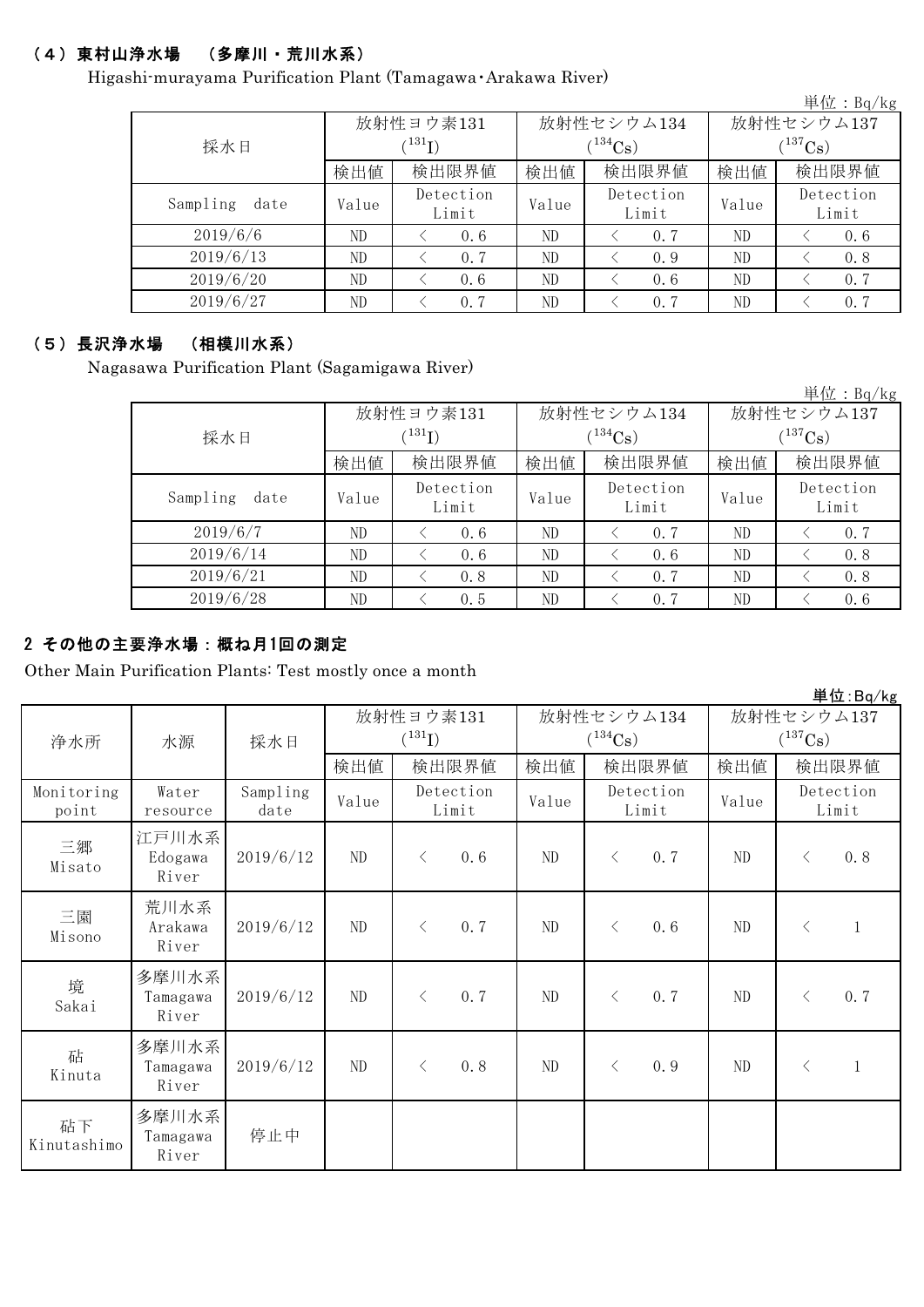## (4)東村山浄水場 (多摩川・荒川水系)

Higashi-murayama Purification Plant (Tamagawa・Arakawa River)

|                  |           |                    |            |                    |             | $+11$ . Dq/ $R$ g  |  |
|------------------|-----------|--------------------|------------|--------------------|-------------|--------------------|--|
|                  | 放射性ヨウ素131 |                    | 放射性セシウム134 | 放射性セシウム137         |             |                    |  |
| 採水日              | (131)     |                    |            | $134C_8$           | $(137)$ Cs) |                    |  |
|                  | 検出値       | 検出限界値              | 検出値        | 検出限界値              | 検出値         | 検出限界値              |  |
| Sampling<br>date | Value     | Detection<br>Limit | Value      | Detection<br>Limit | Value       | Detection<br>Limit |  |
| 2019/6/6         | ND        | 0.6                | ND         | 0.7                | ND          | 0.6                |  |
| 2019/6/13        | ND        | 0.7                | ND         | 0.9                | ND          | 0.8                |  |
| 2019/6/20        | ND        | 0.6                | ND         | 0.6                | ND          | 0.7                |  |
| 2019/6/27        | ND        | 0.7                | ND         | 0.7                | ND          | 0.7                |  |

#### (5)長沢浄水場 (相模川水系)

Nagasawa Purification Plant (Sagamigawa River)

|                  |       |                    |       |                    |              | 単位: $Bq/kg$        |  |  |
|------------------|-------|--------------------|-------|--------------------|--------------|--------------------|--|--|
|                  |       | 放射性ヨウ素131          |       | 放射性セシウム134         | 放射性セシウム137   |                    |  |  |
| 採水日              |       | (131)              |       | $(134)$ Cs         | $(^{137}Cs)$ |                    |  |  |
|                  | 検出値   | 検出限界値              | 検出値   | 検出限界値              | 検出値          | 検出限界値              |  |  |
| Sampling<br>date | Value | Detection<br>Limit | Value | Detection<br>Limit | Value        | Detection<br>Limit |  |  |
| 2019/6/7         | ND    | 0.6                | ND    | 0.7                | ND           | 0.7                |  |  |
| 2019/6/14        | ND    | 0.6                | ND    | 0.6                | ND           | 0.8                |  |  |
| 2019/6/21        | ND    | 0.8                | ND    | 0.7                | ND           | 0.8                |  |  |
| 2019/6/28        | ND    | 0.5                | ND    | 0.7                | ND           | 0.6                |  |  |

### 2 その他の主要浄水場:概ね月1回の測定

Other Main Purification Plants: Test mostly once a month

|                     |                            |                  |           |             |                    |                             |                       |       |              |                    | $\frac{1}{2}$ $\frac{1}{2}$ $\frac{1}{2}$ $\frac{1}{2}$ $\frac{1}{2}$ $\frac{1}{2}$ $\frac{1}{2}$ $\frac{1}{2}$ $\frac{1}{2}$ $\frac{1}{2}$ |
|---------------------|----------------------------|------------------|-----------|-------------|--------------------|-----------------------------|-----------------------|-------|--------------|--------------------|---------------------------------------------------------------------------------------------------------------------------------------------|
|                     |                            |                  | 放射性ヨウ素131 |             |                    | 放射性セシウム134                  |                       |       | 放射性セシウム137   |                    |                                                                                                                                             |
| 浄水所                 | 水源                         | 採水日              |           | $(^{131}I)$ |                    |                             | $(^{134}\mathrm{Cs})$ |       | $(^{137}Cs)$ |                    |                                                                                                                                             |
|                     |                            |                  | 検出値       |             | 検出限界値              | 検出値                         |                       | 検出限界値 | 検出値          |                    | 検出限界値                                                                                                                                       |
| Monitoring<br>point | Water<br>resource          | Sampling<br>date | Value     |             | Detection<br>Limit | Detection<br>Value<br>Limit |                       | Value |              | Detection<br>Limit |                                                                                                                                             |
| 三郷<br>Misato        | 江戸川水系<br>Edogawa<br>River  | 2019/6/12        | ND        | $\lt$       | 0.6                | ND                          | $\langle$             | 0.7   | ND           | $\lt$              | 0.8                                                                                                                                         |
| 三園<br>Misono        | 荒川水系<br>Arakawa<br>River   | 2019/6/12        | ND        | $\lt$       | 0.7                | ND                          | $\lt$                 | 0.6   | ND           | $\langle$          | $\mathbf{1}$                                                                                                                                |
| 境<br>Sakai          | 多摩川水系<br>Tamagawa<br>River | 2019/6/12        | ND        | $\lt$       | 0.7                | ND                          | $\lt$                 | 0.7   | $\rm ND$     | $\langle$          | 0.7                                                                                                                                         |
| 砧<br>Kinuta         | 多摩川水系<br>Tamagawa<br>River | 2019/6/12        | $\rm ND$  | $\lt$       | 0.8                | ND                          | $\langle$             | 0.9   | $\rm ND$     | $\langle$          | $\mathbf{1}$                                                                                                                                |
| 砧下<br>Kinutashimo   | 多摩川水系<br>Tamagawa<br>River | 停止中              |           |             |                    |                             |                       |       |              |                    |                                                                                                                                             |

**出仕:**  $P_{\text{max}}/k_{\text{max}}$ 

単位:Bq/kg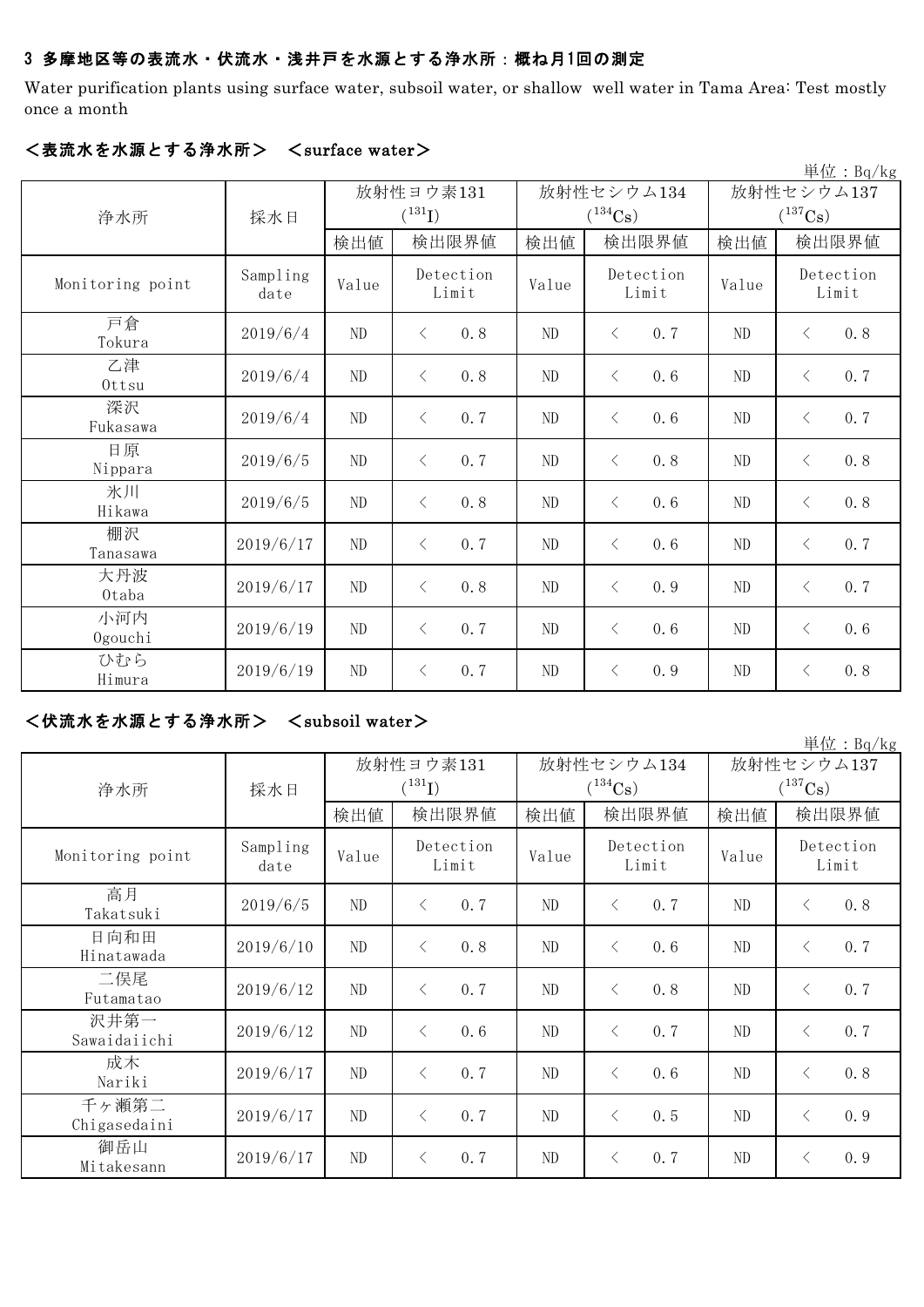#### 3 多摩地区等の表流水・伏流水・浅井戸を水源とする浄水所:概ね月1回の測定

Water purification plants using surface water, subsoil water, or shallow well water in Tama Area: Test mostly once a month

|                  |                  |                          |           |                    |                             |                       |            |                            |           | 単位: Bq/kg          |
|------------------|------------------|--------------------------|-----------|--------------------|-----------------------------|-----------------------|------------|----------------------------|-----------|--------------------|
| 浄水所              | 採水日              | 放射性ヨウ素131<br>$(^{131}I)$ |           |                    |                             | $(^{134}\mathrm{Cs})$ | 放射性セシウム134 | 放射性セシウム137<br>$(^{137}Cs)$ |           |                    |
|                  |                  | 検出値                      |           | 検出限界値              | 検出値                         |                       | 検出限界値      | 検出値                        |           | 検出限界値              |
| Monitoring point | Sampling<br>date | Value                    |           | Detection<br>Limit | Detection<br>Value<br>Limit |                       |            | Value                      |           | Detection<br>Limit |
| 戸倉<br>Tokura     | 2019/6/4         | $\rm ND$                 | $\langle$ | 0.8                | ND                          | $\lt$                 | 0.7        | $\rm ND$                   | $\langle$ | 0.8                |
| 乙津<br>Ottsu      | 2019/6/4         | $\rm ND$                 | $\langle$ | 0.8                | $\rm ND$                    | $\lt$                 | 0.6        | $\rm ND$                   | $\langle$ | 0.7                |
| 深沢<br>Fukasawa   | 2019/6/4         | $\rm ND$                 | $\langle$ | 0.7                | ND                          | $\lt$                 | 0.6        | $\rm ND$                   | $\langle$ | 0.7                |
| 日原<br>Nippara    | 2019/6/5         | $\rm ND$                 | $\langle$ | 0.7                | $\rm ND$                    | $\lt$                 | 0.8        | ${\rm ND}$                 | $\langle$ | 0.8                |
| 氷川<br>Hikawa     | 2019/6/5         | ND                       | $\lt$     | 0.8                | ND                          | $\lt$                 | 0.6        | ND                         | $\langle$ | 0.8                |
| 棚沢<br>Tanasawa   | 2019/6/17        | $\rm ND$                 | $\lt$     | 0.7                | $\rm ND$                    | $\lt$                 | 0.6        | $\rm ND$                   | $\langle$ | 0.7                |
| 大丹波<br>0taba     | 2019/6/17        | N <sub>D</sub>           | $\langle$ | 0.8                | ND                          | $\lt$                 | 0.9        | ND                         | $\langle$ | 0.7                |
| 小河内<br>Ogouchi   | 2019/6/19        | $\rm ND$                 | $\lt$     | 0.7                | ND                          | $\lt$                 | 0.6        | ND                         | $\lt$     | 0.6                |
| ひむら<br>Himura    | 2019/6/19        | $\rm ND$                 | $\langle$ | 0.7                | $\rm ND$                    | $\lt$                 | 0.9        | ${\rm ND}$                 | $\langle$ | 0.8                |

#### <表流水を水源とする浄水所> <surface water>

#### <伏流水を水源とする浄水所> <subsoil water>

|                       |                  |       |                                     |       |                            |                            | 単位: Bq/kg          |  |
|-----------------------|------------------|-------|-------------------------------------|-------|----------------------------|----------------------------|--------------------|--|
| 浄水所                   | 採水日              |       | 放射性ヨウ素131<br>$(^{131}I)$            |       | 放射性セシウム134<br>$(^{134}Cs)$ | 放射性セシウム137<br>$(^{137}Cs)$ |                    |  |
|                       |                  | 検出値   | 検出限界値                               | 検出値   | 検出限界値                      | 検出値                        | 検出限界値              |  |
| Monitoring point      | Sampling<br>date | Value | Detection<br>Limit                  | Value | Detection<br>Limit         | Value                      | Detection<br>Limit |  |
| 高月<br>Takatsuki       | 2019/6/5         | ND    | 0.7<br>$\langle$                    | ND    | 0.7<br>$\lt$               | ND                         | 0.8<br>$\lt$       |  |
| 日向和田<br>Hinatawada    | 2019/6/10        | ND    | 0.8<br>$\langle$                    | ND    | $\langle$<br>0.6           | ND                         | 0.7<br>$\langle$   |  |
| 二俣尾<br>Futamatao      | 2019/6/12        | ND    | 0.7<br>$\left\langle \right\rangle$ | ND    | 0.8<br>$\lt$               | ND                         | 0.7<br>$\lt$       |  |
| 沢井第一<br>Sawaidaiichi  | 2019/6/12        | ND    | 0.6<br>$\langle$                    | ND    | 0.7<br>$\langle$           | ND                         | 0.7<br>$\lt$       |  |
| 成木<br>Nariki          | 2019/6/17        | ND    | 0.7<br>$\langle$                    | ND    | 0.6<br>$\langle$           | ND                         | 0.8<br>$\lt$       |  |
| 千ヶ瀬第二<br>Chigasedaini | 2019/6/17        | ND    | 0.7<br>$\langle$                    | ND    | 0.5<br>$\langle$           | ND                         | 0.9<br>$\langle$   |  |
| 御岳山<br>Mitakesann     | 2019/6/17        | ND    | 0.7<br>$\langle$                    | ND    | 0.7<br>$\lt$               | ND                         | 0.9<br>$\lt$       |  |